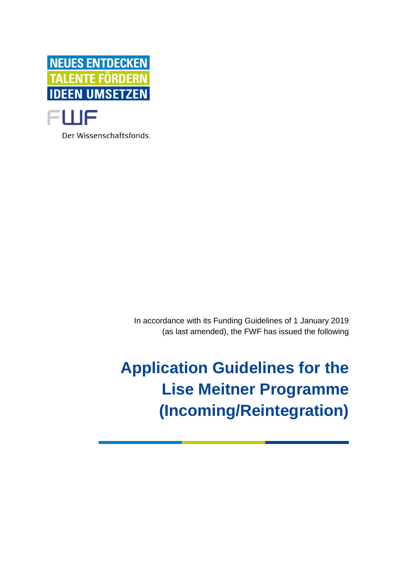

Der Wissenschaftsfonds.

In accordance with its Funding Guidelines of 1 January 2019 (as last amended), the FWF has issued the following

**Application Guidelines for the Lise Meitner Programme (Incoming/Reintegration)**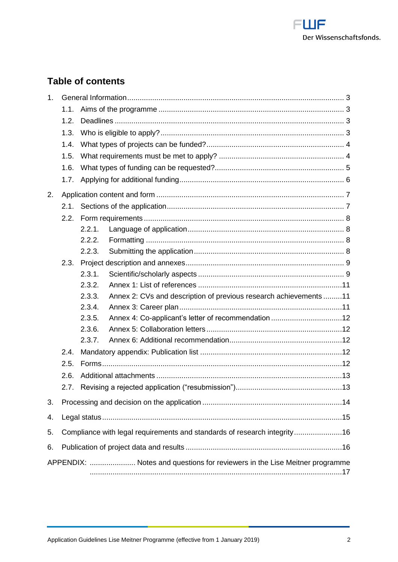

# **Table of contents**

| 1.                                                                         |                                                                          |        |                                                                  |  |
|----------------------------------------------------------------------------|--------------------------------------------------------------------------|--------|------------------------------------------------------------------|--|
|                                                                            | 1.1.                                                                     |        |                                                                  |  |
|                                                                            | 1.2.                                                                     |        |                                                                  |  |
|                                                                            | 1.3.                                                                     |        |                                                                  |  |
|                                                                            | 1.4.                                                                     |        |                                                                  |  |
|                                                                            | 1.5.                                                                     |        |                                                                  |  |
|                                                                            | 1.6.                                                                     |        |                                                                  |  |
|                                                                            | 1.7.                                                                     |        |                                                                  |  |
| 2.                                                                         |                                                                          |        |                                                                  |  |
|                                                                            | 2.1.                                                                     |        |                                                                  |  |
|                                                                            | 2.2.                                                                     |        |                                                                  |  |
|                                                                            |                                                                          | 2.2.1. |                                                                  |  |
|                                                                            |                                                                          | 2.2.2. |                                                                  |  |
|                                                                            |                                                                          | 2.2.3. |                                                                  |  |
|                                                                            | 2.3.                                                                     |        |                                                                  |  |
|                                                                            |                                                                          | 2.3.1. |                                                                  |  |
|                                                                            |                                                                          | 2.3.2. |                                                                  |  |
|                                                                            |                                                                          | 2.3.3. | Annex 2: CVs and description of previous research achievements11 |  |
|                                                                            |                                                                          | 2.3.4. |                                                                  |  |
|                                                                            |                                                                          | 2.3.5. |                                                                  |  |
|                                                                            |                                                                          | 2.3.6. |                                                                  |  |
|                                                                            |                                                                          | 2.3.7. |                                                                  |  |
|                                                                            | 2.4.                                                                     |        |                                                                  |  |
|                                                                            | 2.5.                                                                     |        |                                                                  |  |
|                                                                            | 2.6.                                                                     |        |                                                                  |  |
|                                                                            | 2.7.                                                                     |        |                                                                  |  |
| 3.                                                                         |                                                                          |        |                                                                  |  |
| 4.                                                                         |                                                                          |        |                                                                  |  |
| 5.                                                                         | Compliance with legal requirements and standards of research integrity16 |        |                                                                  |  |
| 6.                                                                         |                                                                          |        |                                                                  |  |
| APPENDIX:  Notes and questions for reviewers in the Lise Meitner programme |                                                                          |        |                                                                  |  |
|                                                                            |                                                                          |        |                                                                  |  |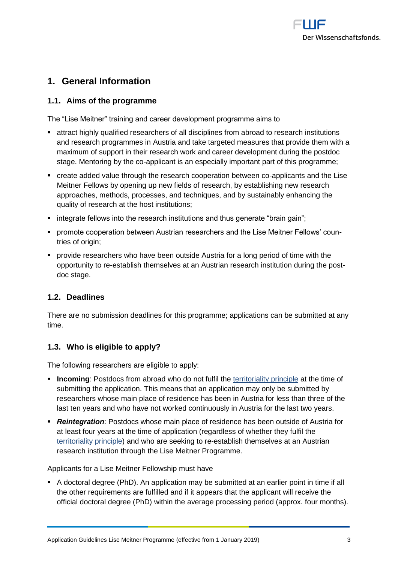

## <span id="page-2-0"></span>**1. General Information**

## <span id="page-2-1"></span>**1.1. Aims of the programme**

The "Lise Meitner" training and career development programme aims to

- attract highly qualified researchers of all disciplines from abroad to research institutions and research programmes in Austria and take targeted measures that provide them with a maximum of support in their research work and career development during the postdoc stage. Mentoring by the co-applicant is an especially important part of this programme;
- create added value through the research cooperation between co-applicants and the Lise Meitner Fellows by opening up new fields of research, by establishing new research approaches, methods, processes, and techniques, and by sustainably enhancing the quality of research at the host institutions;
- integrate fellows into the research institutions and thus generate "brain gain";
- **promote cooperation between Austrian researchers and the Lise Meitner Fellows' coun**tries of origin:
- **Provide researchers who have been outside Austria for a long period of time with the** opportunity to re-establish themselves at an Austrian research institution during the postdoc stage.

## <span id="page-2-2"></span>**1.2. Deadlines**

There are no submission deadlines for this programme; applications can be submitted at any time.

## <span id="page-2-3"></span>**1.3. Who is eligible to apply?**

The following researchers are eligible to apply:

- **Incoming**: Postdocs from abroad who do not fulfil the [territoriality principle](https://www.fwf.ac.at/fileadmin/files/Dokumente/Antragstellung/glossary_application-guidelines.pdf) at the time of submitting the application. This means that an application may only be submitted by researchers whose main place of residence has been in Austria for less than three of the last ten years and who have not worked continuously in Austria for the last two years.
- *Reintegration*: Postdocs whose main place of residence has been outside of Austria for at least four years at the time of application (regardless of whether they fulfil the [territoriality principle\)](https://www.fwf.ac.at/fileadmin/files/Dokumente/Antragstellung/glossary_application-guidelines.pdf) and who are seeking to re-establish themselves at an Austrian research institution through the Lise Meitner Programme.

Applicants for a Lise Meitner Fellowship must have

 A doctoral degree (PhD). An application may be submitted at an earlier point in time if all the other requirements are fulfilled and if it appears that the applicant will receive the official doctoral degree (PhD) within the average processing period (approx. four months).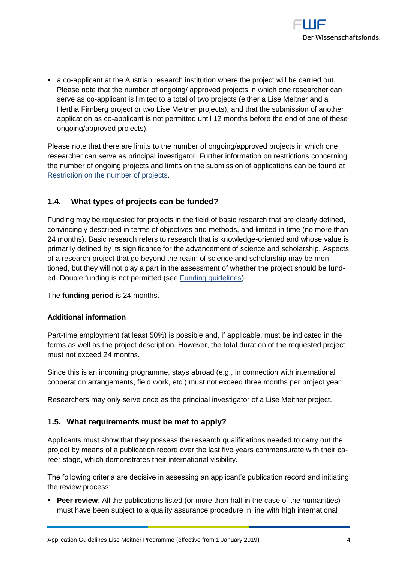

 a co-applicant at the Austrian research institution where the project will be carried out. Please note that the number of ongoing/ approved projects in which one researcher can serve as co-applicant is limited to a total of two projects (either a Lise Meitner and a Hertha Firnberg project or two Lise Meitner projects), and that the submission of another application as co-applicant is not permitted until 12 months before the end of one of these ongoing/approved projects).

Please note that there are limits to the number of ongoing/approved projects in which one researcher can serve as principal investigator. Further information on restrictions concerning the number of ongoing projects and limits on the submission of applications can be found at [Restriction](https://www.fwf.ac.at/fileadmin/files/Dokumente/Antragstellung/project_number_limit.pdf) on the number of projects.

## <span id="page-3-0"></span>**1.4. What types of projects can be funded?**

Funding may be requested for projects in the field of basic research that are clearly defined, convincingly described in terms of objectives and methods, and limited in time (no more than 24 months). Basic research refers to research that is knowledge-oriented and whose value is primarily defined by its significance for the advancement of science and scholarship. Aspects of a research project that go beyond the realm of science and scholarship may be mentioned, but they will not play a part in the assessment of whether the project should be fund-ed. Double funding is not permitted (see [Funding guidelines\)](https://www.fwf.ac.at/fileadmin/files/Dokumente/Ueber_den_FWF/Publikationen/FWF-relevante_Publikationen/fwf_foerderungsrichtlinien.pdf).

The **funding period** is 24 months.

#### **Additional information**

Part-time employment (at least 50%) is possible and, if applicable, must be indicated in the forms as well as the project description. However, the total duration of the requested project must not exceed 24 months.

Since this is an incoming programme, stays abroad (e.g., in connection with international cooperation arrangements, field work, etc.) must not exceed three months per project year.

<span id="page-3-1"></span>Researchers may only serve once as the principal investigator of a Lise Meitner project.

## **1.5. What requirements must be met to apply?**

Applicants must show that they possess the research qualifications needed to carry out the project by means of a publication record over the last five years commensurate with their career stage, which demonstrates their international visibility.

The following criteria are decisive in assessing an applicant's publication record and initiating the review process:

**Peer review**: All the publications listed (or more than half in the case of the humanities) must have been subject to a quality assurance procedure in line with high international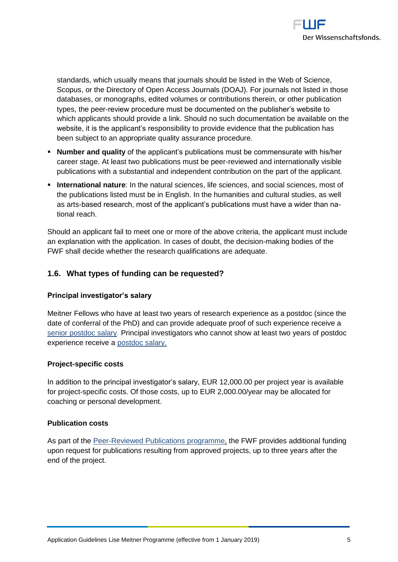

standards, which usually means that journals should be listed in the Web of Science, Scopus, or the Directory of Open Access Journals (DOAJ). For journals not listed in those databases, or monographs, edited volumes or contributions therein, or other publication types, the peer-review procedure must be documented on the publisher's website to which applicants should provide a link. Should no such documentation be available on the website, it is the applicant's responsibility to provide evidence that the publication has been subject to an appropriate quality assurance procedure.

- **Number and quality** of the applicant's publications must be commensurate with his/her career stage. At least two publications must be peer-reviewed and internationally visible publications with a substantial and independent contribution on the part of the applicant.
- **International nature:** In the natural sciences, life sciences, and social sciences, most of the publications listed must be in English. In the humanities and cultural studies, as well as arts-based research, most of the applicant's publications must have a wider than national reach.

Should an applicant fail to meet one or more of the above criteria, the applicant must include an explanation with the application. In cases of doubt, the decision-making bodies of the FWF shall decide whether the research qualifications are adequate.

## <span id="page-4-0"></span>**1.6. What types of funding can be requested?**

#### **Principal investigator's salary**

Meitner Fellows who have at least two years of research experience as a postdoc (since the date of conferral of the PhD) and can provide adequate proof of such experience receive a [senior postdoc salary.](https://www.fwf.ac.at/en/research-funding/personnel-costs/) Principal investigators who cannot show at least two years of postdoc experience receive a [postdoc salary.](https://www.fwf.ac.at/en/research-funding/personnel-costs/)

#### **Project-specific costs**

In addition to the principal investigator's salary, EUR 12,000.00 per project year is available for project-specific costs. Of those costs, up to EUR 2,000.00/year may be allocated for coaching or personal development.

#### **Publication costs**

As part of the [Peer-Reviewed Publications programme,](https://www.fwf.ac.at/en/research-funding/fwf-programmes/peer-reviewed-publications/) the FWF provides additional funding upon request for publications resulting from approved projects, up to three years after the end of the project.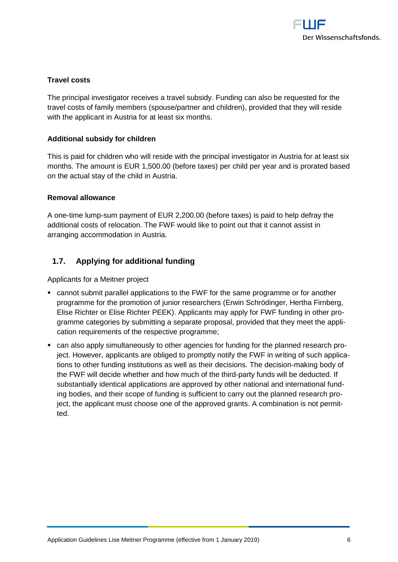

#### **Travel costs**

The principal investigator receives a travel subsidy. Funding can also be requested for the travel costs of family members (spouse/partner and children), provided that they will reside with the applicant in Austria for at least six months.

#### **Additional subsidy for children**

This is paid for children who will reside with the principal investigator in Austria for at least six months. The amount is EUR 1,500.00 (before taxes) per child per year and is prorated based on the actual stay of the child in Austria.

#### **Removal allowance**

A one-time lump-sum payment of EUR 2,200.00 (before taxes) is paid to help defray the additional costs of relocation. The FWF would like to point out that it cannot assist in arranging accommodation in Austria.

## <span id="page-5-0"></span>**1.7. Applying for additional funding**

Applicants for a Meitner project

- cannot submit parallel applications to the FWF for the same programme or for another programme for the promotion of junior researchers (Erwin Schrödinger, Hertha Firnberg, Elise Richter or Elise Richter PEEK). Applicants may apply for FWF funding in other programme categories by submitting a separate proposal, provided that they meet the application requirements of the respective programme;
- can also apply simultaneously to other agencies for funding for the planned research project. However, applicants are obliged to promptly notify the FWF in writing of such applications to other funding institutions as well as their decisions. The decision-making body of the FWF will decide whether and how much of the third-party funds will be deducted. If substantially identical applications are approved by other national and international funding bodies, and their scope of funding is sufficient to carry out the planned research project, the applicant must choose one of the approved grants. A combination is not permitted.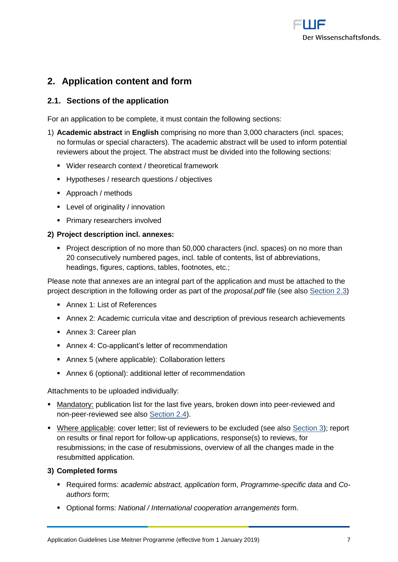

## <span id="page-6-0"></span>**2. Application content and form**

## <span id="page-6-1"></span>**2.1. Sections of the application**

For an application to be complete, it must contain the following sections:

- 1) **Academic abstract** in **English** comprising no more than 3,000 characters (incl. spaces; no formulas or special characters). The academic abstract will be used to inform potential reviewers about the project. The abstract must be divided into the following sections:
	- Wider research context / theoretical framework
	- **Hypotheses / research questions / objectives**
	- Approach / methods
	- **EXEC** Level of originality / innovation
	- **Primary researchers involved**

#### **2) Project description incl. annexes:**

**Project description of no more than 50,000 characters (incl. spaces) on no more than** 20 consecutively numbered pages, incl. table of contents, list of abbreviations, headings, figures, captions, tables, footnotes, etc.;

Please note that annexes are an integral part of the application and must be attached to the project description in the following order as part of the *proposal.pdf* file (see also Section 2.3)

- **Annex 1: List of References**
- Annex 2: Academic curricula vitae and description of previous research achievements
- **Annex 3: Career plan**
- Annex 4: Co-applicant's letter of recommendation
- Annex 5 (where applicable): Collaboration letters
- Annex 6 (optional): additional letter of recommendation

Attachments to be uploaded individually:

- **Mandatory:** publication list for the last five years, broken down into peer-reviewed and non-peer-reviewed see also Section 2.4).
- Where applicable: cover letter; list of reviewers to be excluded (see also Section 3); report on results or final report for follow-up applications, response(s) to reviews, for resubmissions; in the case of resubmissions, overview of all the changes made in the resubmitted application.

## **3) Completed forms**

- Required forms: *academic abstract, application* form, *Programme-specific data* and *Coauthors* form;
- Optional forms: *National / International cooperation arrangements* form.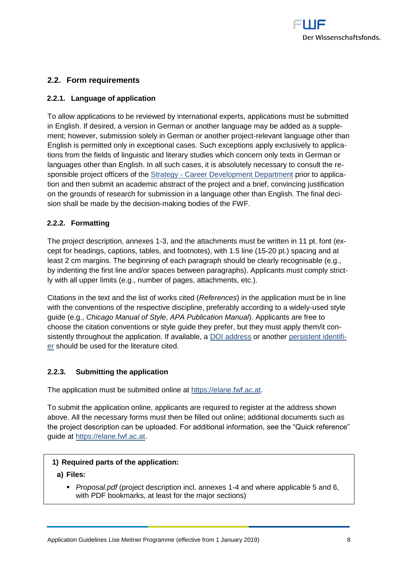

## <span id="page-7-0"></span>**2.2. Form requirements**

#### <span id="page-7-1"></span>**2.2.1. Language of application**

To allow applications to be reviewed by international experts, applications must be submitted in English. If desired, a version in German or another language may be added as a supplement; however, submission solely in German or another project-relevant language other than English is permitted only in exceptional cases. Such exceptions apply exclusively to applications from the fields of linguistic and literary studies which concern only texts in German or languages other than English. In all such cases, it is absolutely necessary to consult the responsible project officers of the Strategy - [Career Development](https://www.fwf.ac.at/en/about-the-fwf/organisation/fwf-team/specialist-departments/strategy-career-development/) Department prior to application and then submit an academic abstract of the project and a brief, convincing justification on the grounds of research for submission in a language other than English. The final decision shall be made by the decision-making bodies of the FWF.

#### <span id="page-7-2"></span>**2.2.2. Formatting**

The project description, annexes 1-3, and the attachments must be written in 11 pt. font (except for headings, captions, tables, and footnotes), with 1.5 line (15-20 pt.) spacing and at least 2 cm margins. The beginning of each paragraph should be clearly recognisable (e.g., by indenting the first line and/or spaces between paragraphs). Applicants must comply strictly with all upper limits (e.g., number of pages, attachments, etc.).

Citations in the text and the list of works cited (*References*) in the application must be in line with the conventions of the respective discipline, preferably according to a widely-used style guide (e.g., *Chicago Manual of Style*, *APA Publication Manual*). Applicants are free to choose the citation conventions or style guide they prefer, but they must apply them/it con-sistently throughout the application. If available, a [DOI address](http://www.doi.org/) or another [persistent identifi](https://en.wikipedia.org/wiki/Persistent_identifier)[er](https://en.wikipedia.org/wiki/Persistent_identifier) should be used for the literature cited.

#### <span id="page-7-3"></span>**2.2.3. Submitting the application**

The application must be submitted online at [https://elane.fwf.ac.at.](https://elane.fwf.ac.at/)

To submit the application online, applicants are required to register at the address shown above. All the necessary forms must then be filled out online; additional documents such as the project description can be uploaded. For additional information, see the "Quick reference" guide at [https://elane.fwf.ac.at.](https://elane.fwf.ac.at/)

#### **1) Required parts of the application:**

- **a) Files:**
	- *Proposal.pdf* (project description incl. annexes 1-4 and where applicable 5 and 6, with PDF bookmarks, at least for the major sections)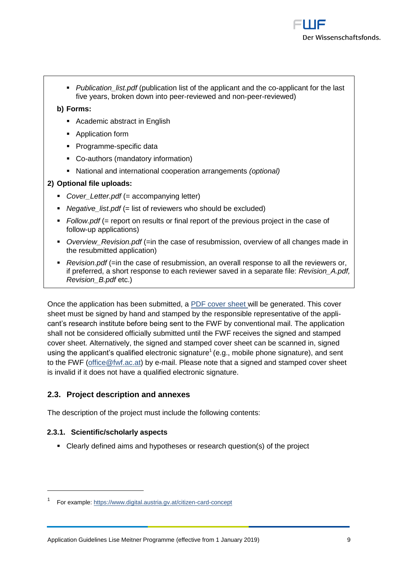**Publication** list.pdf (publication list of the applicant and the co-applicant for the last five years, broken down into peer-reviewed and non-peer-reviewed)

### **b) Forms:**

- Academic abstract in English
- **•** Application form
- Programme-specific data
- Co-authors (mandatory information)
- National and international cooperation arrangements *(optional)*

#### **2) Optional file uploads:**

- *Cover\_Letter.pdf* (= accompanying letter)
- **Negative** list.pdf (= list of reviewers who should be excluded)
- **F** Follow.pdf (= report on results or final report of the previous project in the case of follow-up applications)
- *Overview\_Revision.pdf* (=in the case of resubmission, overview of all changes made in the resubmitted application)
- **Revision.pdf** (=in the case of resubmission, an overall response to all the reviewers or, if preferred, a short response to each reviewer saved in a separate file: *Revision\_A.pdf, Revision\_B.pdf* etc.)

Once the application has been submitted, a [PDF cover sheet](https://www.fwf.ac.at/fileadmin/files/Dokumente/Antragstellung/glossary_application-guidelines.pdf) will be generated. This cover sheet must be signed by hand and stamped by the responsible representative of the applicant's research institute before being sent to the FWF by conventional mail. The application shall not be considered officially submitted until the FWF receives the signed and stamped cover sheet. Alternatively, the signed and stamped cover sheet can be scanned in, signed using the applicant's qualified electronic signature<sup>1</sup> (e.g., mobile phone signature), and sent to the FWF [\(office@fwf.ac.at\)](mailto:office@fwf.ac.at) by e-mail. Please note that a signed and stamped cover sheet is invalid if it does not have a qualified electronic signature.

## <span id="page-8-0"></span>**2.3. Project description and annexes**

<span id="page-8-1"></span>The description of the project must include the following contents:

## **2.3.1. Scientific/scholarly aspects**

Clearly defined aims and hypotheses or research question(s) of the project

<sup>1</sup> For example:<https://www.digital.austria.gv.at/citizen-card-concept>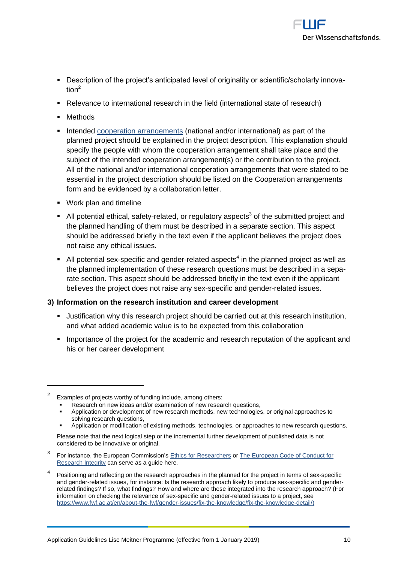

- Description of the project's anticipated level of originality or scientific/scholarly innovation $^2$
- Relevance to international research in the field (international state of research)
- Methods

 $\overline{a}$ 

- Intended [cooperation arrangements](https://www.fwf.ac.at/fileadmin/files/Dokumente/Antragstellung/glossary_application-guidelines.pdf) (national and/or international) as part of the planned project should be explained in the project description. This explanation should specify the people with whom the cooperation arrangement shall take place and the subject of the intended cooperation arrangement(s) or the contribution to the project. All of the national and/or international cooperation arrangements that were stated to be essential in the project description should be listed on the Cooperation arrangements form and be evidenced by a collaboration letter.
- Work plan and timeline
- $\blacksquare$  All potential ethical, safety-related, or regulatory aspects<sup>3</sup> of the submitted project and the planned handling of them must be described in a separate section. This aspect should be addressed briefly in the text even if the applicant believes the project does not raise any ethical issues.
- $\blacksquare$  All potential sex-specific and gender-related aspects<sup>4</sup> in the planned project as well as the planned implementation of these research questions must be described in a separate section. This aspect should be addressed briefly in the text even if the applicant believes the project does not raise any sex-specific and gender-related issues.

## **3) Information on the research institution and career development**

- Justification why this research project should be carried out at this research institution, and what added academic value is to be expected from this collaboration
- **IMPORTANCE OF THE PROTECT FOR THE ACADEMIC AND RESPONSI I** Importance of the applicant and his or her career development

Application or modification of existing methods, technologies, or approaches to new research questions.

- 3 For instance, the European Commission'[s Ethics for Researchers](http://ec.europa.eu/research/participants/data/ref/fp7/89888/ethics-for-researchers_en.pdf) or [The European Code of Conduct for](https://ec.europa.eu/research/participants/data/ref/h2020/other/hi/h2020-ethics_code-of-conduct_en.pdf)  [Research Integrity](https://ec.europa.eu/research/participants/data/ref/h2020/other/hi/h2020-ethics_code-of-conduct_en.pdf) can serve as a guide here*.*
- 4 Positioning and reflecting on the research approaches in the planned for the project in terms of sex-specific and gender-related issues, for instance: Is the research approach likely to produce sex-specific and genderrelated findings? If so, what findings? How and where are these integrated into the research approach? (For information on checking the relevance of sex-specific and gender-related issues to a project, see [https://www.fwf.ac.at/en/about-the-fwf/gender-issues/fix-the-knowledge/fix-the-knowledge-detail/\)](https://www.fwf.ac.at/en/about-the-fwf/gender-issues/fix-the-knowledge/fix-the-knowledge-detail/)

<sup>2</sup> Examples of projects worthy of funding include, among others:

Research on new ideas and/or examination of new research questions,

Application or development of new research methods, new technologies, or original approaches to solving research questions,

Please note that the next logical step or the incremental further development of published data is not considered to be innovative or original.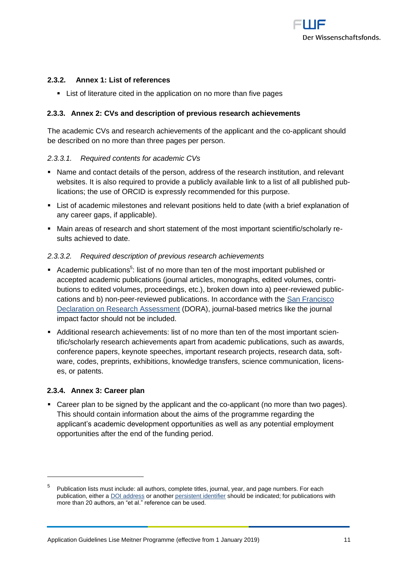

#### <span id="page-10-0"></span>**2.3.2. Annex 1: List of references**

List of literature cited in the application on no more than five pages

#### <span id="page-10-1"></span>**2.3.3. Annex 2: CVs and description of previous research achievements**

The academic CVs and research achievements of the applicant and the co-applicant should be described on no more than three pages per person.

#### *2.3.3.1. Required contents for academic CVs*

- Name and contact details of the person, address of the research institution, and relevant websites. It is also required to provide a publicly available link to a list of all published publications; the use of [ORCID](https://orcid.org/) is expressly recommended for this purpose.
- List of academic milestones and relevant positions held to date (with a brief explanation of any career gaps, if applicable).
- Main areas of research and short statement of the most important scientific/scholarly results achieved to date.

#### *2.3.3.2. Required description of previous research achievements*

- Academic publications<sup>5</sup>: list of no more than ten of the most important published or accepted academic publications (journal articles, monographs, edited volumes, contributions to edited volumes, proceedings, etc.), broken down into a) peer-reviewed publiccations and b) non-peer-reviewed publications. In accordance with the [San Francisco](https://sfdora.org/)  [Declaration on Research Assessment](https://sfdora.org/) (DORA), journal-based metrics like the journal impact factor should not be included.
- Additional research achievements: list of no more than ten of the most important scientific/scholarly research achievements apart from academic publications, such as awards, conference papers, keynote speeches, important research projects, research data, software, codes, preprints, exhibitions, knowledge transfers, science communication, licenses, or patents.

#### <span id="page-10-2"></span>**2.3.4. Annex 3: Career plan**

 $\overline{a}$ 

 Career plan to be signed by the applicant and the co-applicant (no more than two pages). This should contain information about the aims of the programme regarding the applicant's academic development opportunities as well as any potential employment opportunities after the end of the funding period.

<sup>5</sup> Publication lists must include: all authors, complete titles, journal, year, and page numbers. For each publication, either [a DOI address](http://www.doi.org/) or another [persistent identifier](http://en.wikipedia.org/wiki/Persistent_identifier) should be indicated; for publications with more than 20 authors, an "et al." reference can be used.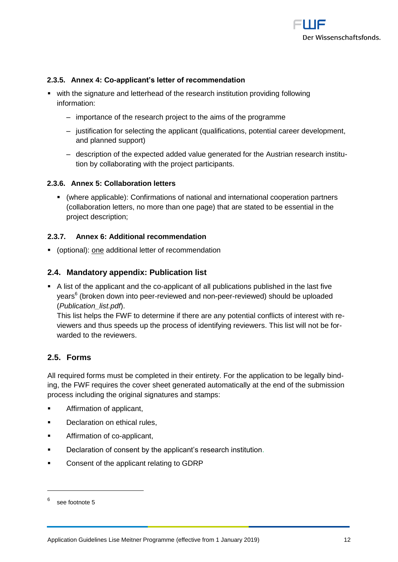

#### <span id="page-11-0"></span>**2.3.5. Annex 4: Co-applicant's letter of recommendation**

- with the signature and letterhead of the research institution providing following information:
	- ‒ importance of the research project to the aims of the programme
	- ‒ justification for selecting the applicant (qualifications, potential career development, and planned support)
	- ‒ description of the expected added value generated for the Austrian research institution by collaborating with the project participants.

#### <span id="page-11-1"></span>**2.3.6. Annex 5: Collaboration letters**

 (where applicable): Confirmations of national and international cooperation partners (collaboration letters, no more than one page) that are stated to be essential in the project description;

#### <span id="page-11-2"></span>**2.3.7. Annex 6: Additional recommendation**

<span id="page-11-3"></span>(optional): one additional letter of recommendation

#### **2.4. Mandatory appendix: Publication list**

 A list of the applicant and the co-applicant of all publications published in the last five years<sup>6</sup> (broken down into peer-reviewed and non-peer-reviewed) should be uploaded (*Publication\_list.pdf*).

This list helps the FWF to determine if there are any potential conflicts of interest with reviewers and thus speeds up the process of identifying reviewers. This list will not be forwarded to the reviewers.

#### <span id="page-11-4"></span>**2.5. Forms**

All required forms must be completed in their entirety. For the application to be legally binding, the FWF requires the cover sheet generated automatically at the end of the submission process including the original signatures and stamps:

- **EXECUTE:** Affirmation of applicant,
- **Declaration on ethical rules,**
- **Affirmation of co-applicant.**
- **Declaration of consent by the applicant's research institution.**
- **Consent of the applicant relating to GDRP**

<sup>6</sup> see footnote 5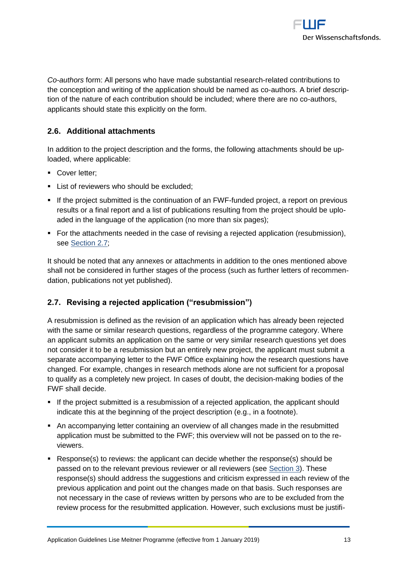

*Co-authors* form: All persons who have made substantial research-related contributions to the conception and writing of the application should be named as co-authors. A brief description of the nature of each contribution should be included; where there are no co-authors, applicants should state this explicitly on the form.

## <span id="page-12-0"></span>**2.6. Additional attachments**

In addition to the project description and the forms, the following attachments should be uploaded, where applicable:

- Cover letter:
- **EXECUTE:** List of reviewers who should be excluded;
- If the project submitted is the continuation of an FWF-funded project, a report on previous results or a final report and a list of publications resulting from the project should be uploaded in the language of the application (no more than six pages);
- For the attachments needed in the case of revising a rejected application (resubmission), see Section 2.7:

It should be noted that any annexes or attachments in addition to the ones mentioned above shall not be considered in further stages of the process (such as further letters of recommendation, publications not yet published).

#### <span id="page-12-1"></span>**2.7. Revising a rejected application ("resubmission")**

A resubmission is defined as the revision of an application which has already been rejected with the same or similar research questions, regardless of the programme category. Where an applicant submits an application on the same or very similar research questions yet does not consider it to be a resubmission but an entirely new project, the applicant must submit a separate accompanying letter to the FWF Office explaining how the research questions have changed. For example, changes in research methods alone are not sufficient for a proposal to qualify as a completely new project. In cases of doubt, the decision-making bodies of the FWF shall decide.

- If the project submitted is a resubmission of a rejected application, the applicant should indicate this at the beginning of the project description (e.g., in a footnote).
- An accompanying letter containing an overview of all changes made in the resubmitted application must be submitted to the FWF; this overview will not be passed on to the reviewers.
- Response(s) to reviews: the applicant can decide whether the response(s) should be passed on to the relevant previous reviewer or all reviewers (see Section 3). These response(s) should address the suggestions and criticism expressed in each review of the previous application and point out the changes made on that basis. Such responses are not necessary in the case of reviews written by persons who are to be excluded from the review process for the resubmitted application. However, such exclusions must be justifi-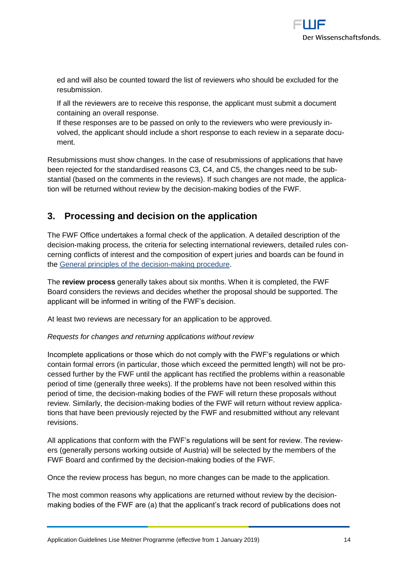

ed and will also be counted toward the list of reviewers who should be excluded for the resubmission.

If all the reviewers are to receive this response, the applicant must submit a document containing an overall response.

If these responses are to be passed on only to the reviewers who were previously involved, the applicant should include a short response to each review in a separate document.

Resubmissions must show changes. In the case of resubmissions of applications that have been rejected for the standardised reasons C3, C4, and C5, the changes need to be substantial (based on the comments in the reviews). If such changes are not made, the application will be returned without review by the decision-making bodies of the FWF.

## <span id="page-13-0"></span>**3. Processing and decision on the application**

The FWF Office undertakes a formal check of the application. A detailed description of the decision-making process, the criteria for selecting international reviewers, detailed rules concerning conflicts of interest and the composition of expert juries and boards can be found in the [General principles of the decision-making procedure.](https://www.fwf.ac.at/en/research-funding/decision-making-procedure/decision-making-procedure/)

The **review process** generally takes about six months. When it is completed, the FWF Board considers the reviews and decides whether the proposal should be supported. The applicant will be informed in writing of the FWF's decision.

At least two reviews are necessary for an application to be approved.

#### *Requests for changes and returning applications without review*

Incomplete applications or those which do not comply with the FWF's regulations or which contain formal errors (in particular, those which exceed the permitted length) will not be processed further by the FWF until the applicant has rectified the problems within a reasonable period of time (generally three weeks). If the problems have not been resolved within this period of time, the decision-making bodies of the FWF will return these proposals without review. Similarly, the decision-making bodies of the FWF will return without review applications that have been previously rejected by the FWF and resubmitted without any relevant revisions.

All applications that conform with the FWF's regulations will be sent for review. The reviewers (generally persons working outside of Austria) will be selected by the members of the FWF Board and confirmed by the decision-making bodies of the FWF.

Once the review process has begun, no more changes can be made to the application.

The most common reasons why applications are returned without review by the decisionmaking bodies of the FWF are (a) that the applicant's track record of publications does not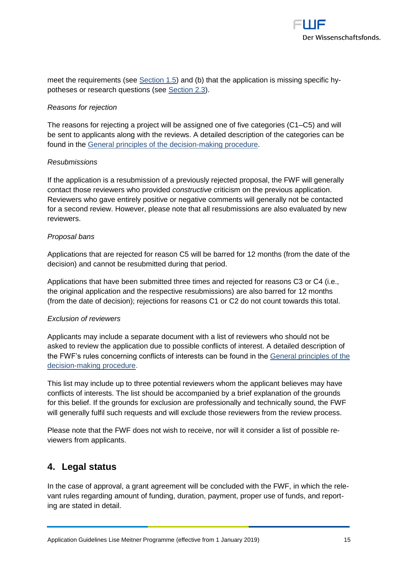

meet the requirements (see Section 1.5) and (b) that the application is missing specific hypotheses or research questions (see Section 2.3).

#### *Reasons for rejection*

The reasons for rejecting a project will be assigned one of five categories (C1–C5) and will be sent to applicants along with the reviews. A detailed description of the categories can be found in the [General principles of the decision-making procedure.](https://www.fwf.ac.at/en/research-funding/decision-making-procedure/decision-making-procedure/)

#### *Resubmissions*

If the application is a resubmission of a previously rejected proposal, the FWF will generally contact those reviewers who provided *constructive* criticism on the previous application. Reviewers who gave entirely positive or negative comments will generally not be contacted for a second review. However, please note that all resubmissions are also evaluated by new reviewers.

#### *Proposal bans*

Applications that are rejected for reason C5 will be barred for 12 months (from the date of the decision) and cannot be resubmitted during that period.

Applications that have been submitted three times and rejected for reasons C3 or C4 (i.e., the original application and the respective resubmissions) are also barred for 12 months (from the date of decision); rejections for reasons C1 or C2 do not count towards this total.

#### *Exclusion of reviewers*

Applicants may include a separate document with a list of reviewers who should not be asked to review the application due to possible conflicts of interest. A detailed description of the FWF's rules concerning conflicts of interests can be found in the [General principles of the](https://www.fwf.ac.at/en/research-funding/decision-making-procedure/decision-making-procedure/)  [decision-making procedure.](https://www.fwf.ac.at/en/research-funding/decision-making-procedure/decision-making-procedure/)

This list may include up to three potential reviewers whom the applicant believes may have conflicts of interests. The list should be accompanied by a brief explanation of the grounds for this belief. If the grounds for exclusion are professionally and technically sound, the FWF will generally fulfil such requests and will exclude those reviewers from the review process.

Please note that the FWF does not wish to receive, nor will it consider a list of possible reviewers from applicants.

## <span id="page-14-0"></span>**4. Legal status**

In the case of approval, a grant agreement will be concluded with the FWF, in which the relevant rules regarding amount of funding, duration, payment, proper use of funds, and reporting are stated in detail.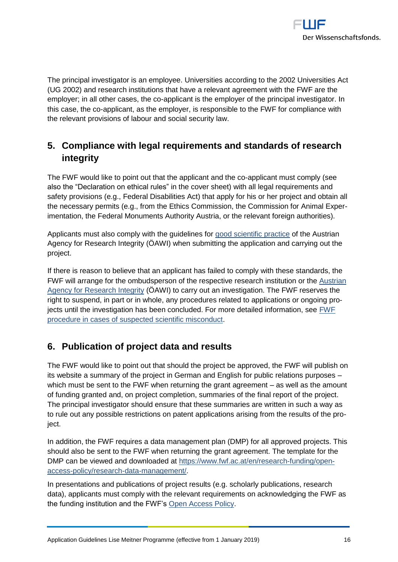

The principal investigator is an employee. Universities according to the 2002 Universities Act (UG 2002) and research institutions that have a relevant agreement with the FWF are the employer; in all other cases, the co-applicant is the employer of the principal investigator. In this case, the co-applicant, as the employer, is responsible to the FWF for compliance with the relevant provisions of labour and social security law.

## <span id="page-15-0"></span>**5. Compliance with legal requirements and standards of research integrity**

The FWF would like to point out that the applicant and the co-applicant must comply (see also the "Declaration on ethical rules" in the cover sheet) with all legal requirements and safety provisions (e.g., Federal Disabilities Act) that apply for his or her project and obtain all the necessary permits (e.g., from the Ethics Commission, the Commission for Animal Experimentation, the Federal Monuments Authority Austria, or the relevant foreign authorities).

Applicants must also comply with the guidelines for [good scientific practice](https://oeawi.at/guidelines/?lang=en) of the Austrian Agency for Research Integrity (ÖAWI) when submitting the application and carrying out the project.

If there is reason to believe that an applicant has failed to comply with these standards, the FWF will arrange for the ombudsperson of the respective research institution or the Austrian [Agency for Research Integrity](https://oeawi.at/) (ÖAWI) to carry out an investigation. The FWF reserves the right to suspend, in part or in whole, any procedures related to applications or ongoing projects until the investigation has been concluded. For more detailed information, see EWF [procedure in cases of suspected scientific misconduct.](https://www.fwf.ac.at/fileadmin/files/Dokumente/Research_Integrity_Ethics/FWF_Verfahren_Research_Misconduct-en.pdf)

## <span id="page-15-1"></span>**6. Publication of project data and results**

The FWF would like to point out that should the project be approved, the FWF will publish on its website a summary of the project in German and English for public relations purposes – which must be sent to the FWF when returning the grant agreement – as well as the amount of funding granted and, on project completion, summaries of the final report of the project. The principal investigator should ensure that these summaries are written in such a way as to rule out any possible restrictions on patent applications arising from the results of the project.

In addition, the FWF requires a data management plan (DMP) for all approved projects. This should also be sent to the FWF when returning the grant agreement. The template for the DMP can be viewed and downloaded at [https://www.fwf.ac.at/en/research-funding/open](https://www.fwf.ac.at/en/research-funding/open-access-policy/research-data-management/)[access-policy/research-data-management/.](https://www.fwf.ac.at/en/research-funding/open-access-policy/research-data-management/)

In presentations and publications of project results (e.g. scholarly publications, research data), applicants must comply with the relevant requirements on acknowledging the FWF as the funding institution and the FWF's [Open Access Policy.](https://www.fwf.ac.at/de/forschungsfoerderung/open-access-policy/https:/www.fwf.ac.at/de/forschungsfoerderung/open-access-policy/)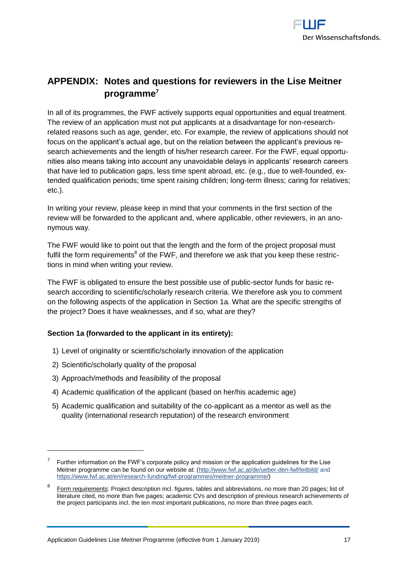

## <span id="page-16-0"></span>**APPENDIX: Notes and questions for reviewers in the Lise Meitner programme<sup>7</sup>**

In all of its programmes, the FWF actively supports equal opportunities and equal treatment. The review of an application must not put applicants at a disadvantage for non-researchrelated reasons such as age, gender, etc. For example, the review of applications should not focus on the applicant's actual age, but on the relation between the applicant's previous research achievements and the length of his/her research career. For the FWF, equal opportunities also means taking into account any unavoidable delays in applicants' research careers that have led to publication gaps, less time spent abroad, etc. (e.g., due to well-founded, extended qualification periods; time spent raising children; long-term illness; caring for relatives; etc.).

In writing your review, please keep in mind that your comments in the first section of the review will be forwarded to the applicant and, where applicable, other reviewers, in an anonymous way.

The FWF would like to point out that the length and the form of the project proposal must fulfil the form requirements<sup>8</sup> of the FWF, and therefore we ask that you keep these restrictions in mind when writing your review.

The FWF is obligated to ensure the best possible use of public-sector funds for basic research according to scientific/scholarly research criteria. We therefore ask you to comment on the following aspects of the application in Section 1a. What are the specific strengths of the project? Does it have weaknesses, and if so, what are they?

## **Section 1a (forwarded to the applicant in its entirety):**

- 1) Level of originality or scientific/scholarly innovation of the application
- 2) Scientific/scholarly quality of the proposal

 $\overline{a}$ 

- 3) Approach/methods and feasibility of the proposal
- 4) Academic qualification of the applicant (based on her/his academic age)
- 5) Academic qualification and suitability of the co-applicant as a mentor as well as the quality (international research reputation) of the research environment

<sup>7</sup> Further information on the FWF's corporate policy and mission or the application guidelines for the Lise Meitner programme can be found on our website at: [\(http://www.fwf.ac.at/de/ueber-den-fwf/leitbild/](http://www.fwf.ac.at/de/ueber-den-fwf/leitbild/) and [https://www.fwf.ac.at/en/research-funding/fwf-programmes/meitner-programme/\)](https://www.fwf.ac.at/en/research-funding/fwf-programmes/meitner-programme/)

<sup>8</sup> Form requirements: Project description incl. figures, tables and abbreviations, no more than 20 pages; list of literature cited, no more than five pages; academic CVs and description of previous research achievements of the project participants incl. the ten most important publications, no more than three pages each.